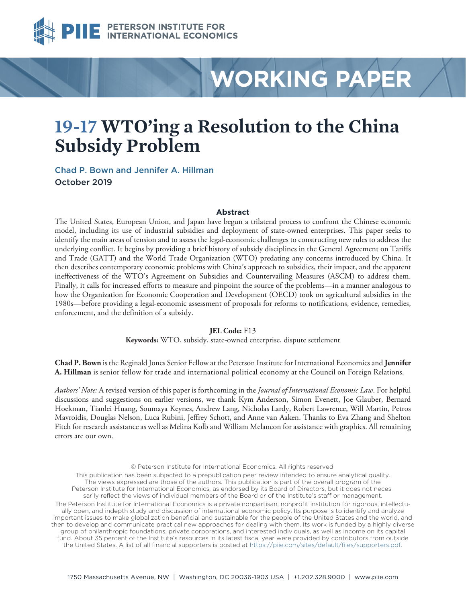

# **WORKING PAPER**

# **19-17 WTO'ing a Resolution to the China Subsidy Problem**

[Chad P. Bown](https://www.piie.com/experts/senior-research-staff/chad-p-bown) and Jennifer A. Hillman October 2019

#### **Abstract**

The United States, European Union, and Japan have begun a trilateral process to confront the Chinese economic model, including its use of industrial subsidies and deployment of state-owned enterprises. This paper seeks to identify the main areas of tension and to assess the legal-economic challenges to constructing new rules to address the underlying conflict. It begins by providing a brief history of subsidy disciplines in the General Agreement on Tariffs and Trade (GATT) and the World Trade Organization (WTO) predating any concerns introduced by China. It then describes contemporary economic problems with China's approach to subsidies, their impact, and the apparent ineffectiveness of the WTO's Agreement on Subsidies and Countervailing Measures (ASCM) to address them. Finally, it calls for increased efforts to measure and pinpoint the source of the problems—in a manner analogous to how the Organization for Economic Cooperation and Development (OECD) took on agricultural subsidies in the 1980s—before providing a legal-economic assessment of proposals for reforms to notifications, evidence, remedies, enforcement, and the definition of a subsidy.

#### **JEL Code:** F13

**Keywords:** WTO, subsidy, state-owned enterprise, dispute settlement

**Chad P. Bown** is the Reginald Jones Senior Fellow at the Peterson Institute for International Economics and **Jennifer A. Hillman** is senior fellow for trade and international political economy at the Council on Foreign Relations.

*Authors' Note:* A revised version of this paper is forthcoming in the *Journal of International Economic Law*. For helpful discussions and suggestions on earlier versions, we thank Kym Anderson, Simon Evenett, Joe Glauber, Bernard Hoekman, Tianlei Huang, Soumaya Keynes, Andrew Lang, Nicholas Lardy, Robert Lawrence, Will Martin, Petros Mavroidis, Douglas Nelson, Luca Rubini, Jeffrey Schott, and Anne van Aaken. Thanks to Eva Zhang and Shelton Fitch for research assistance as well as Melina Kolb and William Melancon for assistance with graphics. All remaining errors are our own.

© Peterson Institute for International Economics. All rights reserved.

This publication has been subjected to a prepublication peer review intended to ensure analytical quality. The views expressed are those of the authors. This publication is part of the overall program of the Peterson Institute for International Economics, as endorsed by its Board of Directors, but it does not necessarily reflect the views of individual members of the Board or of the Institute's staff or management. The Peterson Institute for International Economics is a private nonpartisan, nonprofit institution for rigorous, intellectually open, and indepth study and discussion of international economic policy. Its purpose is to identify and analyze important issues to make globalization beneficial and sustainable for the people of the United States and the world, and then to develop and communicate practical new approaches for dealing with them. Its work is funded by a highly diverse group of philanthropic foundations, private corporations, and interested individuals, as well as income on its capital fund. About 35 percent of the Institute's resources in its latest fiscal year were provided by contributors from outside the United States. A list of all financial supporters is posted at [https://piie.com/sites/default/files/supporters.pdf.](https://piie.com/sites/default/files/supporters.pdf)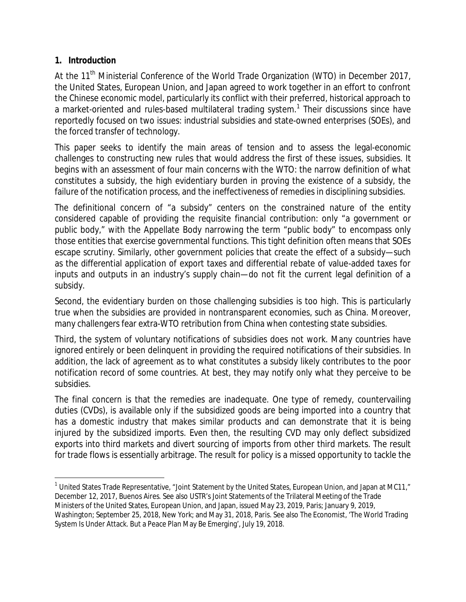#### **1. Introduction**

At the 11<sup>th</sup> Ministerial Conference of the World Trade Organization (WTO) in December 2017, the United States, European Union, and Japan agreed to work together in an effort to confront the Chinese economic model, particularly its conflict with their preferred, historical approach to a market-oriented and rules-based multilateral trading system.<sup>[1](#page-1-0)</sup> Their discussions since have reportedly focused on two issues: industrial subsidies and state-owned enterprises (SOEs), and the forced transfer of technology.

This paper seeks to identify the main areas of tension and to assess the legal-economic challenges to constructing new rules that would address the first of these issues, subsidies. It begins with an assessment of four main concerns with the WTO: the narrow definition of what constitutes a subsidy, the high evidentiary burden in proving the existence of a subsidy, the failure of the notification process, and the ineffectiveness of remedies in disciplining subsidies.

The definitional concern of "a subsidy" centers on the constrained nature of the entity considered capable of providing the requisite financial contribution: only "a government or public body," with the Appellate Body narrowing the term "public body" to encompass only those entities that exercise governmental functions. This tight definition often means that SOEs escape scrutiny. Similarly, other government policies that create the effect of a subsidy—such as the differential application of export taxes and differential rebate of value-added taxes for inputs and outputs in an industry's supply chain—do not fit the current legal definition of a subsidy.

Second, the evidentiary burden on those challenging subsidies is too high. This is particularly true when the subsidies are provided in nontransparent economies, such as China. Moreover, many challengers fear extra-WTO retribution from China when contesting state subsidies.

Third, the system of voluntary notifications of subsidies does not work. Many countries have ignored entirely or been delinquent in providing the required notifications of their subsidies. In addition, the lack of agreement as to what constitutes a subsidy likely contributes to the poor notification record of some countries. At best, they may notify only what they perceive to be subsidies.

The final concern is that the remedies are inadequate. One type of remedy, countervailing duties (CVDs), is available only if the subsidized goods are being imported into a country that has a domestic industry that makes similar products and can demonstrate that it is being injured by the subsidized imports. Even then, the resulting CVD may only deflect subsidized exports into third markets and divert sourcing of imports from other third markets. The result for trade flows is essentially arbitrage. The result for policy is a missed opportunity to tackle the

<span id="page-1-0"></span> $1$  United States Trade Representative, "Joint Statement by the United States, European Union, and Japan at MC11," December 12, 2017, Buenos Aires. See also USTR's Joint Statements of the Trilateral Meeting of the Trade Ministers of the United States, European Union, and Japan, issued May 23, 2019, Paris; January 9, 2019, Washington; September 25, 2018, New York; and May 31, 2018, Paris. See also *The Economist*, 'The World Trading System Is Under Attack. But a Peace Plan May Be Emerging', July 19, 2018.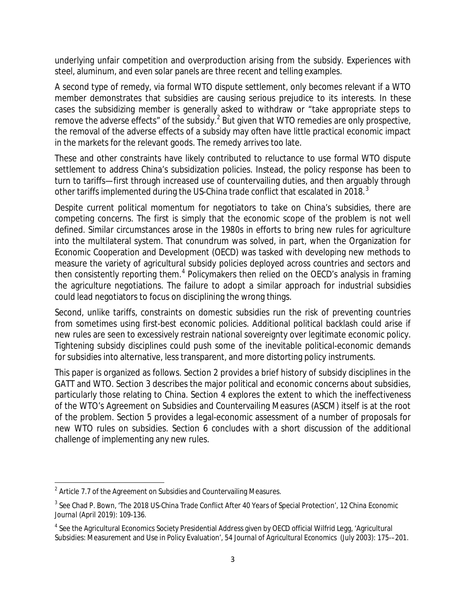underlying unfair competition and overproduction arising from the subsidy. Experiences with steel, aluminum, and even solar panels are three recent and telling examples.

A second type of remedy, via formal WTO dispute settlement, only becomes relevant if a WTO member demonstrates that subsidies are causing serious prejudice to its interests. In these cases the subsidizing member is generally asked to withdraw or "take appropriate steps to remove the adverse effects" of the subsidy.<sup>[2](#page-2-0)</sup> But given that WTO remedies are only *prospective*, the removal of the adverse effects of a subsidy may often have little practical economic impact in the markets for the relevant goods. The remedy arrives too late.

These and other constraints have likely contributed to reluctance to use formal WTO dispute settlement to address China's subsidization policies. Instead, the policy response has been to turn to tariffs—first through increased use of countervailing duties, and then arguably through other tariffs implemented during the US-China trade conflict that escalated in 2018. $^3$  $^3$ 

Despite current political momentum for negotiators to take on China's subsidies, there are competing concerns. The first is simply that the economic scope of the problem is not well defined. Similar circumstances arose in the 1980s in efforts to bring new rules for agriculture into the multilateral system. That conundrum was solved, in part, when the Organization for Economic Cooperation and Development (OECD) was tasked with developing new methods to measure the variety of agricultural subsidy policies deployed across countries and sectors and then consistently reporting them.<sup>[4](#page-2-2)</sup> Policymakers then relied on the OECD's analysis in framing the agriculture negotiations. The failure to adopt a similar approach for industrial subsidies could lead negotiators to focus on disciplining the wrong things.

Second, unlike tariffs, constraints on domestic subsidies run the risk of preventing countries from sometimes using first-best economic policies. Additional political backlash could arise if new rules are seen to excessively restrain national sovereignty over legitimate economic policy. Tightening subsidy disciplines could push some of the inevitable political-economic demands for subsidies into alternative, less transparent, and more distorting policy instruments.

This paper is organized as follows. Section 2 provides a brief history of subsidy disciplines in the GATT and WTO. Section 3 describes the major political and economic concerns about subsidies, particularly those relating to China. Section 4 explores the extent to which the ineffectiveness of the WTO's Agreement on Subsidies and Countervailing Measures (ASCM) itself is at the root of the problem. Section 5 provides a legal-economic assessment of a number of proposals for new WTO rules on subsidies. Section 6 concludes with a short discussion of the additional challenge of implementing any new rules.

<span id="page-2-0"></span> $2$  Article 7.7 of the Agreement on Subsidies and Countervailing Measures.

<span id="page-2-1"></span><sup>3</sup> See Chad P. Bown, 'The 2018 US-China Trade Conflict After 40 Years of Special Protection', 12 *China Economic Journal* (April 2019): 109-136.

<span id="page-2-2"></span><sup>&</sup>lt;sup>4</sup> See the Agricultural Economics Society Presidential Address given by OECD official Wilfrid Legg, 'Agricultural Subsidies: Measurement and Use in Policy Evaluation', 54 *Journal of Agricultural Economics* (July 2003): 175-–201.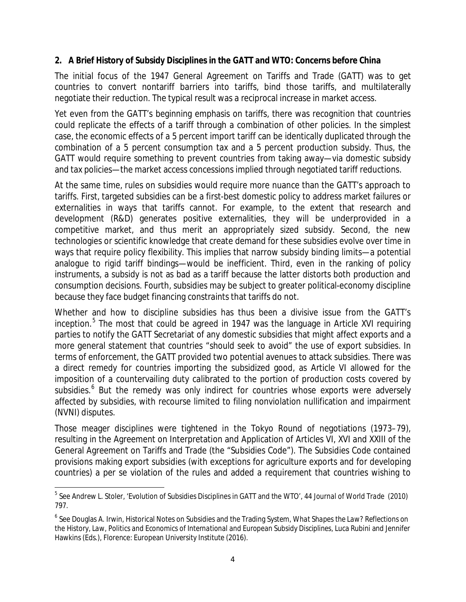#### **2. A Brief History of Subsidy Disciplines in the GATT and WTO: Concerns before China**

The initial focus of the 1947 General Agreement on Tariffs and Trade (GATT) was to get countries to convert nontariff barriers into tariffs, bind those tariffs, and multilaterally negotiate their reduction. The typical result was a reciprocal increase in market access.

Yet even from the GATT's beginning emphasis on tariffs, there was recognition that countries could replicate the effects of a tariff through a combination of other policies. In the simplest case, the economic effects of a 5 percent import tariff can be identically duplicated through the combination of a 5 percent consumption tax and a 5 percent production subsidy. Thus, the GATT would require something to prevent countries from taking away—via domestic subsidy and tax policies—the market access concessions implied through negotiated tariff reductions.

At the same time, rules on subsidies would require more nuance than the GATT's approach to tariffs. First, targeted subsidies can be a first-best domestic policy to address market failures or externalities in ways that tariffs cannot. For example, to the extent that research and development (R&D) generates positive externalities, they will be underprovided in a competitive market, and thus merit an appropriately sized subsidy. Second, the new technologies or scientific knowledge that create demand for these subsidies evolve over time in ways that require policy flexibility. This implies that narrow subsidy binding limits—a potential analogue to rigid tariff bindings—would be inefficient. Third, even in the ranking of policy instruments, a subsidy is not as bad as a tariff because the latter distorts *both* production and consumption decisions. Fourth, subsidies may be subject to greater political-economy discipline because they face budget financing constraints that tariffs do not.

Whether and how to discipline subsidies has thus been a divisive issue from the GATT's inception.<sup>[5](#page-3-0)</sup> The most that could be agreed in 1947 was the language in Article XVI requiring parties to notify the GATT Secretariat of any domestic subsidies that might affect exports and a more general statement that countries "should seek to avoid" the use of export subsidies. In terms of enforcement, the GATT provided two potential avenues to attack subsidies. There was a direct remedy for countries importing the subsidized good, as Article VI allowed for the imposition of a countervailing duty calibrated to the portion of production costs covered by subsidies. [6](#page-3-1) But the remedy was only indirect for countries whose *exports* were adversely affected by subsidies, with recourse limited to filing nonviolation nullification and impairment (NVNI) disputes.

Those meager disciplines were tightened in the Tokyo Round of negotiations (1973–79), resulting in the Agreement on Interpretation and Application of Articles VI, XVI and XXIII of the General Agreement on Tariffs and Trade (the "Subsidies Code"). The Subsidies Code contained provisions making export subsidies (with exceptions for agriculture exports and for developing countries) a per se violation of the rules and added a requirement that countries wishing to

<span id="page-3-0"></span><sup>5</sup> See Andrew L. Stoler, 'Evolution of Subsidies Disciplines in GATT and the WTO', 44 *Journal of World Trade* (2010) 797.

<span id="page-3-1"></span><sup>6</sup> See Douglas A. Irwin, Historical Notes on Subsidies and the Trading System, *What Shapes the Law? Reflections on the History, Law, Politics and Economics of International and European Subsidy Disciplines*, Luca Rubini and Jennifer Hawkins (Eds.), Florence: European University Institute (2016).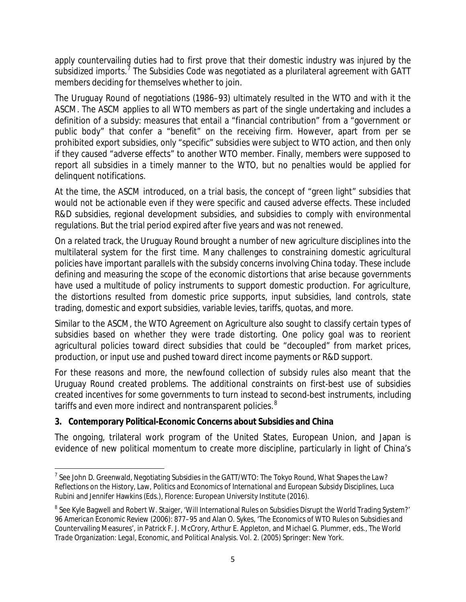apply countervailing duties had to first prove that their domestic industry was injured by the subsidized imports.<sup>[7](#page-4-0)</sup> The Subsidies Code was negotiated as a plurilateral agreement with GATT members deciding for themselves whether to join.

The Uruguay Round of negotiations (1986–93) ultimately resulted in the WTO and with it the ASCM. The ASCM applies to all WTO members as part of the single undertaking and includes a definition of a subsidy: measures that entail a "financial contribution" from a "government or public body" that confer a "benefit" on the receiving firm. However, apart from per se prohibited export subsidies, only "specific" subsidies were subject to WTO action, and then only if they caused "adverse effects" to another WTO member. Finally, members were supposed to report all subsidies in a timely manner to the WTO, but no penalties would be applied for delinquent notifications.

At the time, the ASCM introduced, on a trial basis, the concept of "green light" subsidies that would not be actionable even if they were specific and caused adverse effects. These included R&D subsidies, regional development subsidies, and subsidies to comply with environmental regulations. But the trial period expired after five years and was not renewed.

On a related track, the Uruguay Round brought a number of new agriculture disciplines into the multilateral system for the first time. Many challenges to constraining domestic agricultural policies have important parallels with the subsidy concerns involving China today. These include defining and measuring the scope of the economic distortions that arise because governments have used a multitude of policy instruments to support domestic production. For agriculture, the distortions resulted from domestic price supports, input subsidies, land controls, state trading, domestic and export subsidies, variable levies, tariffs, quotas, and more.

Similar to the ASCM, the WTO Agreement on Agriculture also sought to classify certain types of subsidies based on whether they were trade distorting. One policy goal was to reorient agricultural policies toward direct subsidies that could be "decoupled" from market prices, production, or input use and pushed toward direct income payments or R&D support.

For these reasons and more, the newfound collection of subsidy rules also meant that the Uruguay Round created problems. The additional constraints on first-best use of subsidies created incentives for some governments to turn instead to second-best instruments, including tariffs and even more indirect and nontransparent policies.<sup>[8](#page-4-1)</sup>

## **3. Contemporary Political-Economic Concerns about Subsidies and China**

The ongoing, trilateral work program of the United States, European Union, and Japan is evidence of new political momentum to create more discipline, particularly in light of China's

<span id="page-4-0"></span><sup>7</sup> See John D. Greenwald, Negotiating Subsidies in the GATT/WTO: The Tokyo Round, *What Shapes the Law? Reflections on the History, Law, Politics and Economics of International and European Subsidy Disciplines*, Luca Rubini and Jennifer Hawkins (Eds.), Florence: European University Institute (2016).

<span id="page-4-1"></span><sup>&</sup>lt;sup>8</sup> See Kyle Bagwell and Robert W. Staiger, 'Will International Rules on Subsidies Disrupt the World Trading System?' 96 *American Economic Review* (2006): 877–95 and Alan O. Sykes, 'The Economics of WTO Rules on Subsidies and Countervailing Measures', in Patrick F. J. McCrory, Arthur E. Appleton, and Michael G. Plummer, eds., *The World Trade Organization: Legal, Economic, and Political Analysis.* Vol. 2. (2005) Springer: New York.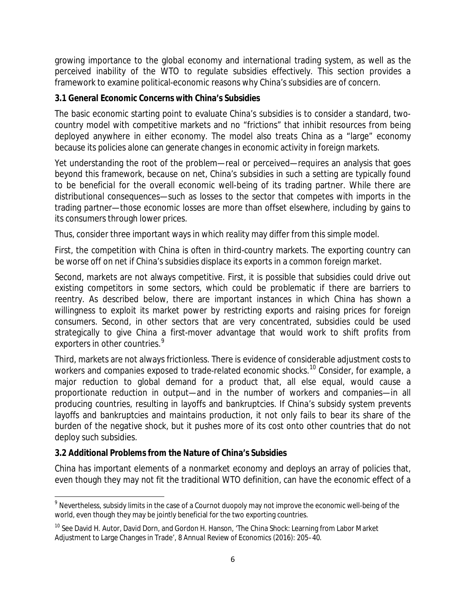growing importance to the global economy and international trading system, as well as the perceived inability of the WTO to regulate subsidies effectively. This section provides a framework to examine political-economic reasons why China's subsidies are of concern.

#### **3.1 General Economic Concerns with China's Subsidies**

The basic economic starting point to evaluate China's subsidies is to consider a standard, twocountry model with competitive markets and no "frictions" that inhibit resources from being deployed anywhere in either economy. The model also treats China as a "large" economy because its policies alone can generate changes in economic activity in foreign markets.

Yet understanding the root of the problem—real or perceived—requires an analysis that goes beyond this framework, because on net, China's subsidies in such a setting are typically found to be *beneficial* for the overall economic well-being of its trading partner. While there are distributional consequences—such as losses to the sector that competes with imports in the trading partner—those economic losses are more than offset elsewhere, including by gains to its consumers through lower prices.

Thus, consider three important ways in which reality may differ from this simple model.

First, the competition with China is often in third-country markets. The exporting country can be worse off on net if China's subsidies displace its exports in a common foreign market.

Second, markets are not always competitive. First, it is possible that subsidies could drive out existing competitors in some sectors, which could be problematic if there are barriers to reentry. As described below, there are important instances in which China has shown a willingness to exploit its market power by restricting exports and raising prices for foreign consumers. Second, in other sectors that are very concentrated, subsidies could be used strategically to give China a first-mover advantage that would work to shift profits from exporters in other countries.<sup>[9](#page-5-0)</sup>

Third, markets are not always frictionless. There is evidence of considerable adjustment costs to workers and companies exposed to trade-related economic shocks.<sup>[10](#page-5-1)</sup> Consider, for example, a major reduction to global demand for a product that, all else equal, would cause a proportionate reduction in output—and in the number of workers and companies—in all producing countries, resulting in layoffs and bankruptcies. If China's subsidy system prevents layoffs and bankruptcies and maintains production, it not only fails to bear its share of the burden of the negative shock, but it pushes more of its cost onto other countries that do not deploy such subsidies.

## **3.2 Additional Problems from the Nature of China's Subsidies**

China has important elements of a nonmarket economy and deploys an array of policies that, even though they may not fit the traditional WTO definition, can have the economic effect of a

<span id="page-5-0"></span><sup>&</sup>lt;sup>9</sup> Nevertheless, subsidy limits in the case of a Cournot duopoly may not improve the economic well-being of the world, even though they may be jointly beneficial for the two exporting countries.

<span id="page-5-1"></span><sup>&</sup>lt;sup>10</sup> See David H. Autor, David Dorn, and Gordon H. Hanson, 'The China Shock: Learning from Labor Market Adjustment to Large Changes in Trade', 8 *Annual Review of Economics* (2016): 205–40.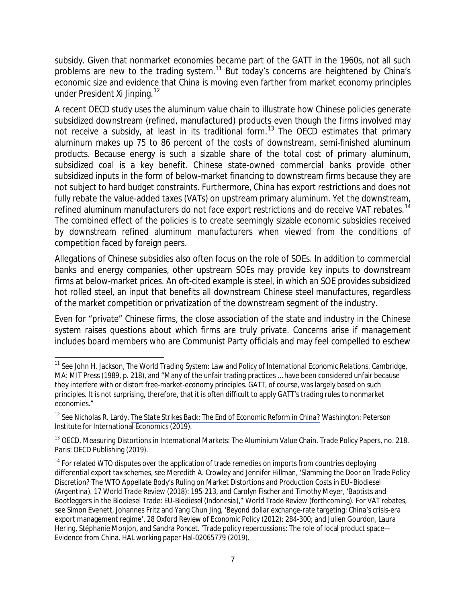subsidy. Given that nonmarket economies became part of the GATT in the 1960s, not all such problems are new to the trading system.<sup>[11](#page-6-0)</sup> But today's concerns are heightened by China's economic size and evidence that China is moving even farther from market economy principles under President Xi Jinping.<sup>[12](#page-6-1)</sup>

A recent OECD study uses the aluminum value chain to illustrate how Chinese policies generate subsidized downstream (refined, manufactured) products even though the firms involved may not receive a subsidy, at least in its traditional form.<sup>[13](#page-6-2)</sup> The OECD estimates that primary aluminum makes up 75 to 86 percent of the costs of downstream, semi-finished aluminum products. Because energy is such a sizable share of the total cost of primary aluminum, subsidized coal is a key benefit. Chinese state-owned commercial banks provide other subsidized inputs in the form of below-market financing to downstream firms because they are not subject to hard budget constraints. Furthermore, China has export restrictions and does not fully rebate the value-added taxes (VATs) on upstream primary aluminum. Yet the downstream, refined aluminum manufacturers do not face export restrictions and do receive VAT rebates.<sup>[14](#page-6-3)</sup> The combined effect of the policies is to create seemingly sizable economic subsidies received by downstream refined aluminum manufacturers when viewed from the conditions of competition faced by foreign peers.

Allegations of Chinese subsidies also often focus on the role of SOEs. In addition to commercial banks and energy companies, other upstream SOEs may provide key inputs to downstream firms at below-market prices. An oft-cited example is steel, in which an SOE provides subsidized hot rolled steel, an input that benefits all downstream Chinese steel manufactures, regardless of the market competition or privatization of the downstream segment of the industry.

Even for "private" Chinese firms, the close association of the state and industry in the Chinese system raises questions about which firms are truly private. Concerns arise if management includes board members who are Communist Party officials and may feel compelled to eschew

<span id="page-6-0"></span><sup>11</sup> See John H. Jackson, *The World Trading System: Law and Policy of International Economic Relations*. Cambridge, MA: MIT Press (1989, p. 218), and "Many of the unfair trading practices … have been considered unfair because they interfere with or distort free-market-economy principles. GATT, of course, was largely based on such principles. It is not surprising, therefore, that it is often difficult to apply GATT's trading rules to nonmarket economies."

<span id="page-6-1"></span><sup>12</sup> See Nicholas R. Lardy, *[The State Strikes Back: The End of Economic Reform in China?](https://www.piie.com/bookstore/state-strikes-back-end-economic-reform-china)* Washington: Peterson Institute for International Economics (2019).

<span id="page-6-2"></span><sup>13</sup> OECD, *Measuring Distortions in International Markets: The Aluminium Value Chain.* Trade Policy Papers, no. 218. Paris: OECD Publishing (2019).

<span id="page-6-3"></span> $14$  For related WTO disputes over the application of trade remedies on imports from countries deploying differential export tax schemes, see Meredith A. Crowley and Jennifer Hillman, 'Slamming the Door on Trade Policy Discretion? The WTO Appellate Body's Ruling on Market Distortions and Production Costs in *EU–Biodiesel (Argentina)*. 17 *World Trade Review* (2018): 195-213, and Carolyn Fischer and Timothy Meyer, 'Baptists and Bootleggers in the Biodiesel Trade: *EU-Biodiesel (Indonesia)*," *World Trade Review* (forthcoming). For VAT rebates, see Simon Evenett, Johannes Fritz and Yang Chun Jing, 'Beyond dollar exchange-rate targeting: China's crisis-era export management regime', 28 *Oxford Review of Economic Policy* (2012): 284-300; and Julien Gourdon, Laura Hering, Stéphanie Monjon, and Sandra Poncet. 'Trade policy repercussions: The role of local product space— Evidence from China. HAL working paper Hal-02065779 (2019).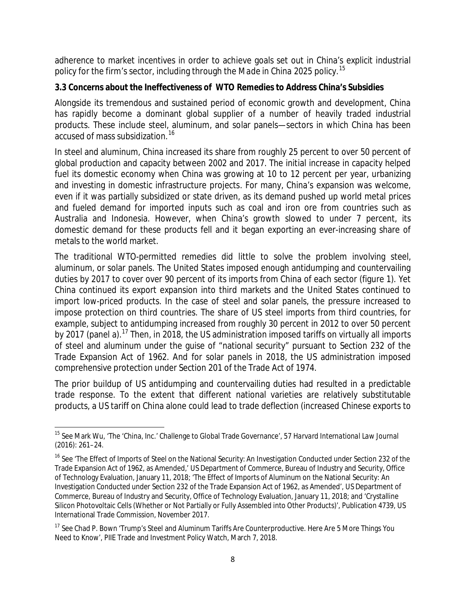adherence to market incentives in order to achieve goals set out in China's explicit industrial policy for the firm's sector, including through the *Made in China 2025* policy.[15](#page-7-0) 

#### **3.3 Concerns about the Ineffectiveness of WTO Remedies to Address China's Subsidies**

Alongside its tremendous and sustained period of economic growth and development, China has rapidly become a dominant global supplier of a number of heavily traded industrial products. These include steel, aluminum, and solar panels—sectors in which China has been accused of mass subsidization. [16](#page-7-1)

In steel and aluminum, China increased its share from roughly 25 percent to over 50 percent of global production and capacity between 2002 and 2017. The initial increase in capacity helped fuel its domestic economy when China was growing at 10 to 12 percent per year, urbanizing and investing in domestic infrastructure projects. For many, China's expansion was welcome, even if it was partially subsidized or state driven, as its demand pushed up world metal prices and fueled demand for imported inputs such as coal and iron ore from countries such as Australia and Indonesia. However, when China's growth slowed to under 7 percent, its domestic demand for these products fell and it began exporting an ever-increasing share of metals to the world market.

The traditional WTO-permitted remedies did little to solve the problem involving steel, aluminum, or solar panels. The United States imposed enough antidumping and countervailing duties by 2017 to cover over 90 percent of its imports from China of each sector (figure 1). Yet China continued its export expansion into third markets and the United States continued to import low-priced products. In the case of steel and solar panels, the pressure increased to impose protection on third countries. The share of US steel imports from third countries, for example, subject to antidumping increased from roughly 30 percent in 2012 to over 50 percent by 20[17](#page-7-2) (panel a).<sup>17</sup> Then, in 2018, the US administration imposed tariffs on virtually all imports of steel and aluminum under the guise of "national security" pursuant to Section 232 of the Trade Expansion Act of 1962. And for solar panels in 2018, the US administration imposed comprehensive protection under Section 201 of the Trade Act of 1974.

The prior buildup of US antidumping and countervailing duties had resulted in a predictable trade response. To the extent that different national varieties are relatively substitutable products, a US tariff on China alone could lead to trade deflection (increased Chinese exports to

<span id="page-7-0"></span><sup>15</sup> See Mark Wu, 'The 'China, Inc.' Challenge to Global Trade Governance', 57 *Harvard International Law Journal* (2016): 261–24.

<span id="page-7-1"></span><sup>&</sup>lt;sup>16</sup> See 'The Effect of Imports of Steel on the National Security: An Investigation Conducted under Section 232 of the Trade Expansion Act of 1962, as Amended,' US Department of Commerce, Bureau of Industry and Security, Office of Technology Evaluation, January 11, 2018; 'The Effect of Imports of Aluminum on the National Security: An Investigation Conducted under Section 232 of the Trade Expansion Act of 1962, as Amended', US Department of Commerce, Bureau of Industry and Security, Office of Technology Evaluation, January 11, 2018; and 'Crystalline Silicon Photovoltaic Cells (Whether or Not Partially or Fully Assembled into Other Products)', Publication 4739, US International Trade Commission, November 2017.

<span id="page-7-2"></span><sup>&</sup>lt;sup>17</sup> See Chad P. Bown 'Trump's Steel and Aluminum Tariffs Are Counterproductive. Here Are 5 More Things You Need to Know', PIIE Trade and Investment Policy Watch, March 7, 2018.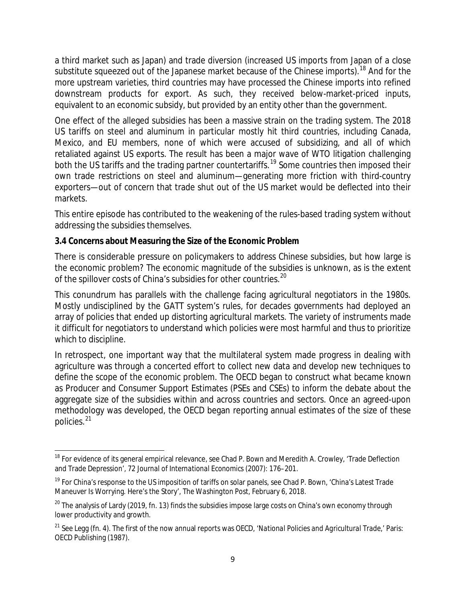a third market such as Japan) and trade diversion (increased US imports from Japan of a close substitute squeezed out of the Japanese market because of the Chinese imports).<sup>[18](#page-8-0)</sup> And for the more upstream varieties, third countries may have processed the Chinese imports into refined downstream products for export. As such, they received below-market-priced inputs, equivalent to an economic subsidy, but provided by an entity other than the government.

One effect of the alleged subsidies has been a massive strain on the trading system. The 2018 US tariffs on steel and aluminum in particular mostly hit third countries, including Canada, Mexico, and EU members, none of which were accused of subsidizing, and all of which retaliated against US exports. The result has been a major wave of WTO litigation challenging both the US tariffs and the trading partner countertariffs.<sup>[19](#page-8-1)</sup> Some countries then imposed their own trade restrictions on steel and aluminum—generating more friction with third-country exporters—out of concern that trade shut out of the US market would be deflected into their markets.

This entire episode has contributed to the weakening of the rules-based trading system without addressing the subsidies themselves.

#### **3.4 Concerns about Measuring the Size of the Economic Problem**

There is considerable pressure on policymakers to address Chinese subsidies, but how large is the economic problem? The economic magnitude of the subsidies is unknown, as is the extent of the spillover costs of China's subsidies for other countries.<sup>[20](#page-8-2)</sup>

This conundrum has parallels with the challenge facing agricultural negotiators in the 1980s. Mostly undisciplined by the GATT system's rules, for decades governments had deployed an array of policies that ended up distorting agricultural markets. The variety of instruments made it difficult for negotiators to understand which policies were most harmful and thus to prioritize which to discipline.

In retrospect, one important way that the multilateral system made progress in dealing with agriculture was through a concerted effort to collect new data and develop new techniques to define the scope of the economic problem. The OECD began to construct what became known as Producer and Consumer Support Estimates (PSEs and CSEs) to inform the debate about the aggregate size of the subsidies within and across countries and sectors. Once an agreed-upon methodology was developed, the OECD began reporting annual estimates of the size of these policies.<sup>[21](#page-8-3)</sup>

<span id="page-8-0"></span><sup>&</sup>lt;sup>18</sup> For evidence of its general empirical relevance, see Chad P. Bown and Meredith A. Crowley, 'Trade Deflection and Trade Depression', 72 *Journal of International Economics* (2007): 176–201.

<span id="page-8-1"></span><sup>&</sup>lt;sup>19</sup> For China's response to the US imposition of tariffs on solar panels, see Chad P. Bown, 'China's Latest Trade Maneuver Is Worrying. Here's the Story', *The Washington Post*, February 6, 2018.

<span id="page-8-2"></span><sup>&</sup>lt;sup>20</sup> The analysis of Lardy (2019, fn. 13) finds the subsidies impose large costs on China's own economy through lower productivity and growth.

<span id="page-8-3"></span><sup>21</sup> See Legg (fn. 4). The first of the now annual reports was OECD, '*National Policies and Agricultural Trade*,' Paris: OECD Publishing (1987).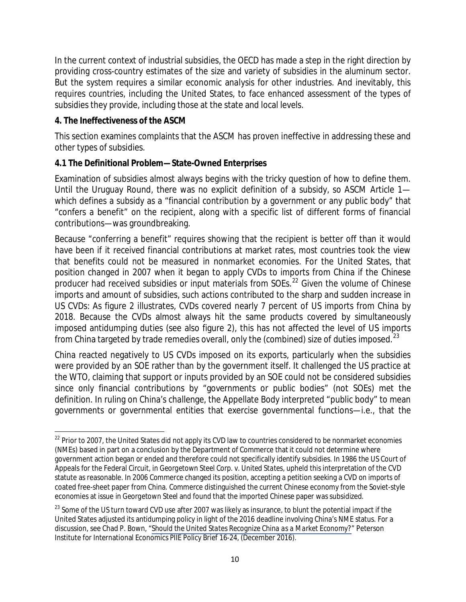In the current context of industrial subsidies, the OECD has made a step in the right direction by providing cross-country estimates of the size and variety of subsidies in the aluminum sector. But the system requires a similar economic analysis for other industries. And inevitably, this requires countries, including the United States, to face enhanced assessment of the types of subsidies they provide, including those at the state and local levels.

#### **4. The Ineffectiveness of the ASCM**

This section examines complaints that the ASCM has proven ineffective in addressing these and other types of subsidies.

#### **4.1 The Definitional Problem—State-Owned Enterprises**

Examination of subsidies almost always begins with the tricky question of how to define them. Until the Uruguay Round, there was no explicit definition of a subsidy, so ASCM Article 1 which defines a subsidy as a "financial contribution by a government or any public body" that "confers a benefit" on the recipient, along with a specific list of different forms of financial contributions—was groundbreaking.

Because "conferring a benefit" requires showing that the recipient is better off than it would have been if it received financial contributions at market rates, most countries took the view that benefits could not be measured in nonmarket economies. For the United States, that position changed in 2007 when it began to apply CVDs to imports from China if the Chinese producer had received subsidies or input materials from SOEs.<sup>[22](#page-9-0)</sup> Given the volume of Chinese imports and amount of subsidies, such actions contributed to the sharp and sudden increase in US CVDs: As figure 2 illustrates, CVDs covered nearly 7 percent of US imports from China by 2018. Because the CVDs almost always hit the same products covered by simultaneously imposed antidumping duties (see also figure 2), this has not affected the level of US imports from China targeted by trade remedies overall, only the (combined) size of duties imposed.<sup>23</sup>

China reacted negatively to US CVDs imposed on its exports, particularly when the subsidies were provided by an SOE rather than by the government itself. It challenged the US practice at the WTO, claiming that support or inputs provided by an SOE could not be considered subsidies since only financial contributions by "governments or public bodies" (not SOEs) met the definition. In ruling on China's challenge, the Appellate Body interpreted "public body" to mean governments or governmental entities that exercise governmental functions—i.e., that the

<span id="page-9-0"></span><sup>&</sup>lt;sup>22</sup> Prior to 2007, the United States did not apply its CVD law to countries considered to be nonmarket economies (NMEs) based in part on a conclusion by the Department of Commerce that it could not determine where government action began or ended and therefore could not specifically identify subsidies. In 1986 the US Court of Appeals for the Federal Circuit, in *Georgetown Steel Corp. v. United States*, upheld this interpretation of the CVD statute as reasonable. In 2006 Commerce changed its position, accepting a petition seeking a CVD on imports of coated free-sheet paper from China. Commerce distinguished the current Chinese economy from the Soviet-style economies at issue in *Georgetown Steel* and found that the imported Chinese paper was subsidized.

<span id="page-9-1"></span><sup>&</sup>lt;sup>23</sup> Some of the US turn toward CVD use after 2007 was likely as insurance, to blunt the potential impact if the United States adjusted its antidumping policy in light of the 2016 deadline involving China's NME status. For a discussion, see Chad P. Bown, "*[Should the United States Recognize China as a Market Economy?](https://www.piie.com/publications/policy-briefs/should-united-states-recognize-china-market-economy)*" Peterson Institute for International Economics PIIE Policy Brief 16-24, (December 2016).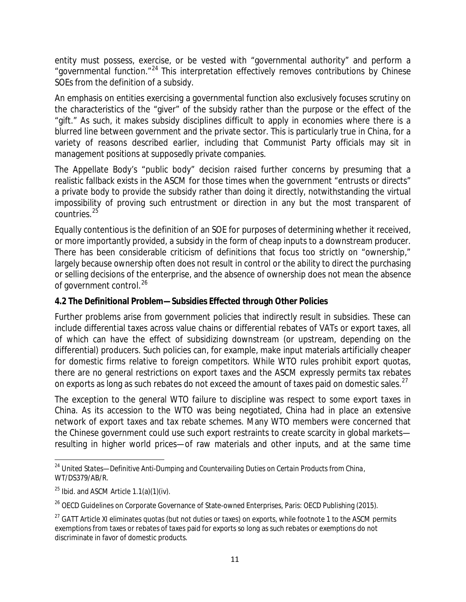entity must possess, exercise, or be vested with "governmental authority" and perform a "governmental function."[24](#page-10-0) This interpretation effectively removes contributions by Chinese SOEs from the definition of a subsidy.

An emphasis on entities exercising a governmental function also exclusively focuses scrutiny on the characteristics of the "giver" of the subsidy rather than the purpose or the effect of the "gift." As such, it makes subsidy disciplines difficult to apply in economies where there is a blurred line between government and the private sector. This is particularly true in China, for a variety of reasons described earlier, including that Communist Party officials may sit in management positions at supposedly private companies.

The Appellate Body's "public body" decision raised further concerns by presuming that a realistic fallback exists in the ASCM for those times when the government "entrusts or directs" a private body to provide the subsidy rather than doing it directly, notwithstanding the virtual impossibility of proving such entrustment or direction in any but the most transparent of countries.<sup>[25](#page-10-1)</sup>

Equally contentious is the definition of an SOE for purposes of determining whether it received, or more importantly *provided,* a subsidy in the form of cheap inputs to a downstream producer. There has been considerable criticism of definitions that focus too strictly on "ownership," largely because ownership often does not result in control or the ability to direct the purchasing or selling decisions of the enterprise, and the absence of ownership does not mean the absence of government control.<sup>[26](#page-10-2)</sup>

#### **4.2 The Definitional Problem—Subsidies Effected through Other Policies**

Further problems arise from government policies that indirectly result in subsidies. These can include differential taxes across value chains or differential rebates of VATs or export taxes, all of which can have the effect of subsidizing downstream (or upstream, depending on the differential) producers. Such policies can, for example, make input materials artificially cheaper for domestic firms relative to foreign competitors. While WTO rules prohibit export quotas, there are no general restrictions on export taxes and the ASCM expressly permits tax rebates on exports as long as such rebates do not exceed the amount of taxes paid on domestic sales.<sup>[27](#page-10-3)</sup>

The exception to the general WTO failure to discipline was respect to some export taxes in China. As its accession to the WTO was being negotiated, China had in place an extensive network of export taxes and tax rebate schemes. Many WTO members were concerned that the Chinese government could use such export restraints to create scarcity in global markets resulting in higher world prices—of raw materials and other inputs, and at the same time

<span id="page-10-0"></span><sup>24</sup> *United States—Definitive Anti-Dumping and Countervailing Duties on Certain Products from China*, WT/DS379/AB/R.

<span id="page-10-1"></span> $25$  Ibid. and ASCM Article 1.1(a)(1)(iv).

<span id="page-10-2"></span><sup>&</sup>lt;sup>26</sup> OECD Guidelines on Corporate Governance of State-owned Enterprises, Paris: OECD Publishing (2015).

<span id="page-10-3"></span> $27$  GATT Article XI eliminates quotas (but not duties or taxes) on exports, while footnote 1 to the ASCM permits exemptions from taxes or rebates of taxes paid for exports so long as such rebates or exemptions do not discriminate in favor of domestic products.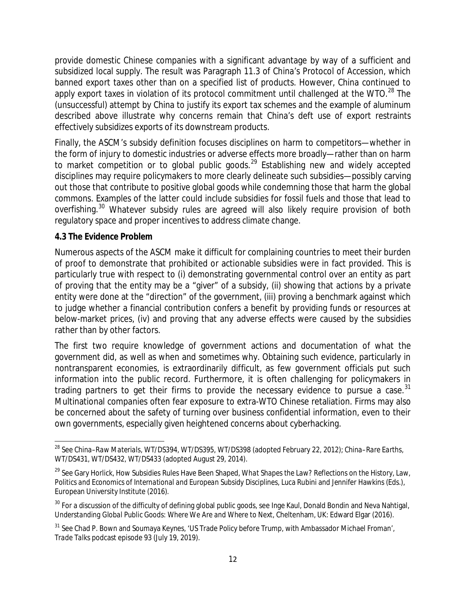provide domestic Chinese companies with a significant advantage by way of a sufficient and subsidized local supply. The result was Paragraph 11.3 of China's Protocol of Accession, which banned export taxes other than on a specified list of products. However, China continued to apply export taxes in violation of its protocol commitment until challenged at the WTO.<sup>[28](#page-11-0)</sup> The (unsuccessful) attempt by China to justify its export tax schemes and the example of aluminum described above illustrate why concerns remain that China's deft use of export restraints effectively subsidizes exports of its downstream products.

Finally, the ASCM's subsidy definition focuses disciplines on harm to competitors—whether in the form of injury to domestic industries or adverse effects more broadly—rather than on harm to market competition or to global public goods.<sup>[29](#page-11-1)</sup> Establishing new and widely accepted disciplines may require policymakers to more clearly delineate such subsidies—possibly carving out those that contribute to positive global goods while condemning those that harm the global commons. Examples of the latter could include subsidies for fossil fuels and those that lead to overfishing.<sup>30</sup> Whatever subsidy rules are agreed will also likely require provision of both regulatory space and proper incentives to address climate change.

#### **4.3 The Evidence Problem**

Numerous aspects of the ASCM make it difficult for complaining countries to meet their burden of proof to demonstrate that prohibited or actionable subsidies were in fact provided. This is particularly true with respect to (i) demonstrating governmental control over an entity as part of proving that the entity may be a "giver" of a subsidy, (ii) showing that actions by a private entity were done at the "direction" of the government, (iii) proving a benchmark against which to judge whether a financial contribution confers a benefit by providing funds or resources at below-market prices, (iv) and proving that any adverse effects were caused by the subsidies rather than by other factors.

The first two require knowledge of government actions and documentation of what the government did, as well as when and sometimes why. Obtaining such evidence, particularly in nontransparent economies, is extraordinarily difficult, as few government officials put such information into the public record. Furthermore, it is often challenging for policymakers in trading partners to get their firms to provide the necessary evidence to pursue a case.<sup>[31](#page-11-3)</sup> Multinational companies often fear exposure to extra-WTO Chinese retaliation. Firms may also be concerned about the safety of turning over business confidential information, even to their own governments, especially given heightened concerns about cyberhacking.

<span id="page-11-0"></span><sup>28</sup> See *China–Raw Materials*, WT/DS394, WT/DS395, WT/DS398 (adopted February 22, 2012); *China–Rare Earths*, WT/DS431, WT/DS432, WT/DS433 (adopted August 29, 2014).

<span id="page-11-1"></span><sup>29</sup> See Gary Horlick, How Subsidies Rules Have Been Shaped, *What Shapes the Law? Reflections on the History, Law, Politics and Economics of International and European Subsidy Disciplines*, Luca Rubini and Jennifer Hawkins (Eds.), European University Institute (2016).

<span id="page-11-2"></span><sup>30</sup> For a discussion of the difficulty of defining global public goods, see Inge Kaul, Donald Bondin and Neva Nahtigal*, Understanding Global Public Goods: Where We Are and Where to Next*, Cheltenham, UK: Edward Elgar (2016).

<span id="page-11-3"></span><sup>&</sup>lt;sup>31</sup> See Chad P. Bown and Soumaya Keynes, 'US Trade Policy before Trump, with Ambassador Michael Froman', *Trade Talks* podcast episode 93 (July 19, 2019).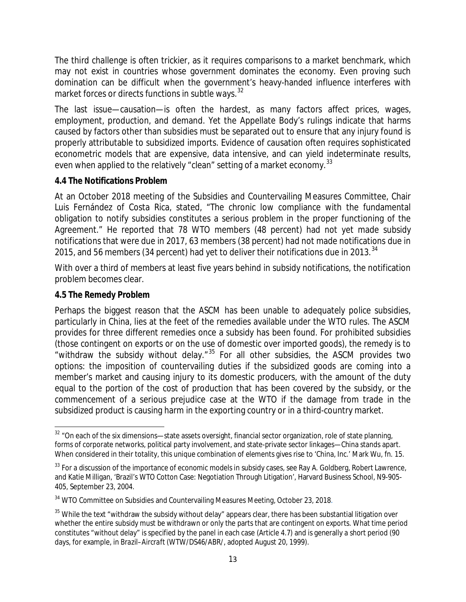The third challenge is often trickier, as it requires comparisons to a market benchmark, which may not exist in countries whose government dominates the economy. Even proving such domination can be difficult when the government's heavy-handed influence interferes with market forces or directs functions in subtle ways.  $32$ 

The last issue—causation—is often the hardest, as many factors affect prices, wages, employment, production, and demand. Yet the Appellate Body's rulings indicate that harms caused by factors other than subsidies must be separated out to ensure that any injury found is properly attributable to subsidized imports. Evidence of causation often requires sophisticated econometric models that are expensive, data intensive, and can yield indeterminate results, even when applied to the relatively "clean" setting of a market economy. $^{\rm 33}$  $^{\rm 33}$  $^{\rm 33}$ 

#### **4.4 The Notifications Problem**

At an October 2018 meeting of the Subsidies and Countervailing Measures Committee, Chair Luis Fernández of Costa Rica, stated, "The chronic low compliance with the fundamental obligation to notify subsidies constitutes a serious problem in the proper functioning of the Agreement." He reported that 78 WTO members (48 percent) had not yet made subsidy notifications that were due in 2017, 63 members (38 percent) had not made notifications due in 2015, and 56 members ([34](#page-12-2) percent) had yet to deliver their notifications due in 2013. $34$ 

With over a third of members at least five years behind in subsidy notifications, the notification problem becomes clear.

#### **4.5 The Remedy Problem**

Perhaps the biggest reason that the ASCM has been unable to adequately police subsidies, particularly in China, lies at the feet of the remedies available under the WTO rules. The ASCM provides for three different remedies once a subsidy has been found. For prohibited subsidies (those contingent on exports or on the use of domestic over imported goods), the remedy is to "withdraw the subsidy without delay. $135$  $135$  For all other subsidies, the ASCM provides two options: the imposition of countervailing duties if the subsidized goods are coming into a member's market and causing injury to its domestic producers, with the amount of the duty equal to the portion of the cost of production that has been covered by the subsidy, or the commencement of a serious prejudice case at the WTO if the damage from trade in the subsidized product is causing harm in the exporting country or in a third-country market.

<span id="page-12-0"></span> $32$  "On each of the six dimensions—state assets oversight, financial sector organization, role of state planning, forms of corporate networks, political party involvement, and state-private sector linkages—China stands apart. When considered in their totality, this unique combination of elements gives rise to 'China, Inc.' Mark Wu, fn. 15.

<span id="page-12-1"></span><sup>&</sup>lt;sup>33</sup> For a discussion of the importance of economic models in subsidy cases, see Ray A. Goldberg, Robert Lawrence, and Katie Milligan, 'Brazil's WTO Cotton Case: Negotiation Through Litigation', Harvard Business School, N9-905- 405, September 23, 2004.

<span id="page-12-2"></span><sup>&</sup>lt;sup>34</sup> WTO Committee on Subsidies and Countervailing Measures Meeting, October 23, 2018.

<span id="page-12-3"></span> $35$  While the text "withdraw the subsidy without delay" appears clear, there has been substantial litigation over whether the entire subsidy must be withdrawn or only the parts that are contingent on exports. What time period constitutes "without delay" is specified by the panel in each case (Article 4.7) and is generally a short period (90 days, for example, in *Brazil–Aircraft* (WTW/DS46/ABR/, adopted August 20, 1999).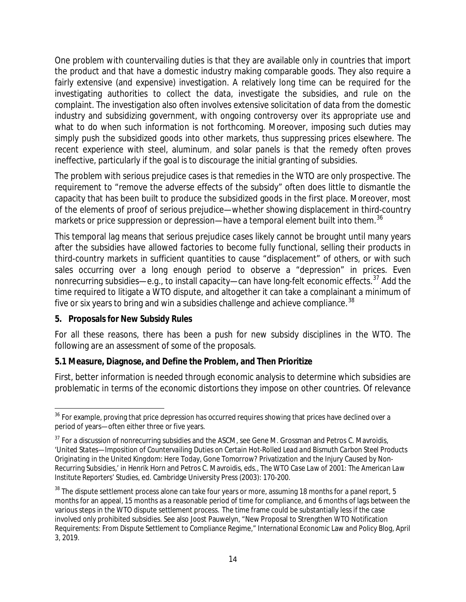One problem with countervailing duties is that they are available only in countries that import the product and that have a domestic industry making comparable goods. They also require a fairly extensive (and expensive) investigation. A relatively long time can be required for the investigating authorities to collect the data, investigate the subsidies, and rule on the complaint. The investigation also often involves extensive solicitation of data from the domestic industry and subsidizing government, with ongoing controversy over its appropriate use and what to do when such information is not forthcoming. Moreover, imposing such duties may simply push the subsidized goods into other markets, thus suppressing prices elsewhere. The recent experience with steel, aluminum, and solar panels is that the remedy often proves ineffective, particularly if the goal is to discourage the initial granting of subsidies.

The problem with serious prejudice cases is that remedies in the WTO are only prospective. The requirement to "remove the adverse effects of the subsidy" often does little to dismantle the capacity that has been built to produce the subsidized goods in the first place. Moreover, most of the elements of proof of serious prejudice—whether showing displacement in third-country markets or price suppression or depression—have a temporal element built into them.<sup>[36](#page-13-0)</sup>

This temporal lag means that serious prejudice cases likely cannot be brought until many years after the subsidies have allowed factories to become fully functional, selling their products in third-country markets in sufficient quantities to cause "displacement" of others, or with such sales occurring over a long enough period to observe a "depression" in prices. Even nonrecurring subsidies—e.g., to install capacity—can have long-felt economic effects.<sup>[37](#page-13-1)</sup> Add the time required to litigate a WTO dispute, and altogether it can take a complainant a minimum of five or six years to bring and win a subsidies challenge and achieve compliance. $^{\rm 38}$  $^{\rm 38}$  $^{\rm 38}$ 

#### **5. Proposals for New Subsidy Rules**

For all these reasons, there has been a push for new subsidy disciplines in the WTO. The following are an assessment of some of the proposals.

#### **5.1 Measure, Diagnose, and Define the Problem, and Then Prioritize**

First, better information is needed through economic analysis to determine which subsidies are problematic in terms of the economic distortions they impose on other countries. Of relevance

<span id="page-13-0"></span> $36$  For example, proving that price depression has occurred requires showing that prices have declined over a period of years—often either three or five years.

<span id="page-13-1"></span> $37$  For a discussion of nonrecurring subsidies and the ASCM, see Gene M. Grossman and Petros C. Mavroidis, '*United States—Imposition of Countervailing Duties on Certain Hot-Rolled Lead and Bismuth Carbon Steel Products Originating in the United Kingdom*: Here Today, Gone Tomorrow? Privatization and the Injury Caused by Non-Recurring Subsidies,' in Henrik Horn and Petros C. Mavroidis, eds., *The WTO Case Law of 2001: The American Law Institute Reporters' Studies*, ed. Cambridge University Press (2003): 170-200.

<span id="page-13-2"></span><sup>&</sup>lt;sup>38</sup> The dispute settlement process alone can take four years or more, assuming 18 months for a panel report, 5 months for an appeal, 15 months as a reasonable period of time for compliance, and 6 months of lags between the various steps in the WTO dispute settlement process. The time frame could be substantially less if the case involved only prohibited subsidies. See also Joost Pauwelyn, "New Proposal to Strengthen WTO Notification Requirements: From Dispute Settlement to Compliance Regime," International Economic Law and Policy Blog, April 3, 2019.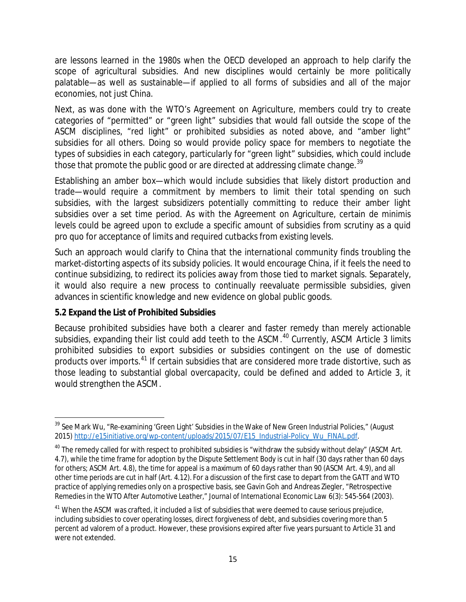are lessons learned in the 1980s when the OECD developed an approach to help clarify the scope of agricultural subsidies. And new disciplines would certainly be more politically palatable—as well as sustainable—if applied to all forms of subsidies and all of the major economies, not just China.

Next, as was done with the WTO's Agreement on Agriculture, members could try to create categories of "permitted" or "green light" subsidies that would fall outside the scope of the ASCM disciplines, "red light" or prohibited subsidies as noted above, and "amber light" subsidies for all others. Doing so would provide policy space for members to negotiate the types of subsidies in each category, particularly for "green light" subsidies, which could include those that promote the public good or are directed at addressing climate change.<sup>[39](#page-14-0)</sup>

Establishing an amber box—which would include subsidies that likely distort production and trade—would require a commitment by members to limit their total spending on such subsidies, with the largest subsidizers potentially committing to reduce their amber light subsidies over a set time period. As with the Agreement on Agriculture, certain *de minimis* levels could be agreed upon to exclude a specific amount of subsidies from scrutiny as a quid pro quo for acceptance of limits and required cutbacks from existing levels.

Such an approach would clarify to China that the international community finds troubling the market-distorting aspects of its subsidy policies. It would encourage China, if it feels the need to continue subsidizing, to redirect its policies away from those tied to market signals. Separately, it would also require a new process to continually reevaluate permissible subsidies, given advances in scientific knowledge and new evidence on global public goods.

#### **5.2 Expand the List of Prohibited Subsidies**

Because prohibited subsidies have both a clearer and faster remedy than merely actionable subsidies, expanding their list could add teeth to the ASCM.<sup>[40](#page-14-1)</sup> Currently, ASCM Article 3 limits prohibited subsidies to export subsidies or subsidies contingent on the use of domestic products over imports.<sup>[41](#page-14-2)</sup> If certain subsidies that are considered more trade distortive, such as those leading to substantial global overcapacity, could be defined and added to Article 3, it would strengthen the ASCM.

<span id="page-14-0"></span><sup>&</sup>lt;sup>39</sup> See Mark Wu, "Re-examining 'Green Light' Subsidies in the Wake of New Green Industrial Policies," (August 2015[\) http://e15initiative.org/wp-content/uploads/2015/07/E15\\_Industrial-Policy\\_Wu\\_FINAL.pdf.](http://e15initiative.org/wp-content/uploads/2015/07/E15_Industrial-Policy_Wu_FINAL.pdf)

<span id="page-14-1"></span> $40$  The remedy called for with respect to prohibited subsidies is "withdraw the subsidy without delay" (ASCM Art. 4.7), while the time frame for adoption by the Dispute Settlement Body is cut in half (30 days rather than 60 days for others; ASCM Art. 4.8), the time for appeal is a maximum of 60 days rather than 90 (ASCM Art. 4.9), and all other time periods are cut in half (Art. 4.12). For a discussion of the first case to depart from the GATT and WTO practice of applying remedies only on a prospective basis, see Gavin Goh and Andreas Ziegler, "Retrospective Remedies in the WTO After *Automotive Leather," Journal of International Economic Law* 6(3): 545-564 (2003).

<span id="page-14-2"></span><sup>&</sup>lt;sup>41</sup> When the ASCM was crafted, it included a list of subsidies that were deemed to cause serious prejudice, including subsidies to cover operating losses, direct forgiveness of debt, and subsidies covering more than 5 percent ad valorem of a product. However, these provisions expired after five years pursuant to Article 31 and were not extended.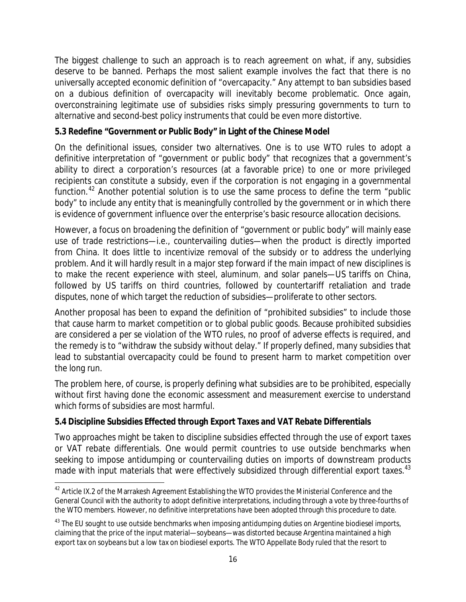The biggest challenge to such an approach is to reach agreement on what, if any, subsidies deserve to be banned. Perhaps the most salient example involves the fact that there is no universally accepted economic definition of "overcapacity." Any attempt to ban subsidies based on a dubious definition of overcapacity will inevitably become problematic. Once again, overconstraining legitimate use of subsidies risks simply pressuring governments to turn to alternative and second-best policy instruments that could be even more distortive.

#### **5.3 Redefine "Government or Public Body" in Light of the Chinese Model**

On the definitional issues, consider two alternatives. One is to use WTO rules to adopt a definitive interpretation of "government or public body" that recognizes that a government's ability to direct a corporation's resources (at a favorable price) to one or more privileged recipients can constitute a subsidy, even if the corporation is not engaging in a governmental function.<sup>[42](#page-15-0)</sup> Another potential solution is to use the same process to define the term "public body" to include any entity that is meaningfully controlled by the government or in which there is evidence of government influence over the enterprise's basic resource allocation decisions.

However, a focus on broadening the definition of "government or public body" will mainly ease use of trade restrictions—i.e., countervailing duties—when the product is directly imported from China. It does little to incentivize removal of the subsidy or to address the underlying problem. And it will hardly result in a major step forward if the main impact of new disciplines is to make the recent experience with steel, aluminum, and solar panels—US tariffs on China, followed by US tariffs on third countries, followed by countertariff retaliation and trade disputes, none of which target the reduction of subsidies—proliferate to other sectors.

Another proposal has been to expand the definition of "prohibited subsidies" to include those that cause harm to market competition or to global public goods. Because prohibited subsidies are considered a *per se* violation of the WTO rules, no proof of adverse effects is required, and the remedy is to "withdraw the subsidy without delay." If properly defined, many subsidies that lead to substantial overcapacity could be found to present harm to market competition over the long run.

The problem here, of course, is properly defining what subsidies are to be prohibited, especially without first having done the economic assessment and measurement exercise to understand which forms of subsidies are most harmful.

## **5.4 Discipline Subsidies Effected through Export Taxes and VAT Rebate Differentials**

Two approaches might be taken to discipline subsidies effected through the use of export taxes or VAT rebate differentials. One would permit countries to use outside benchmarks when seeking to impose antidumping or countervailing duties on imports of downstream products made with input materials that were effectively subsidized through differential export taxes.<sup>[43](#page-15-1)</sup>

<span id="page-15-0"></span><sup>&</sup>lt;sup>42</sup> Article IX.2 of the Marrakesh Agreement Establishing the WTO provides the Ministerial Conference and the General Council with the authority to adopt definitive interpretations, including through a vote by three-fourths of the WTO members. However, no definitive interpretations have been adopted through this procedure to date.

<span id="page-15-1"></span><sup>&</sup>lt;sup>43</sup> The EU sought to use outside benchmarks when imposing antidumping duties on Argentine biodiesel imports, claiming that the price of the input material—soybeans—was distorted because Argentina maintained a high export tax on soybeans but a low tax on biodiesel exports. The WTO Appellate Body ruled that the resort to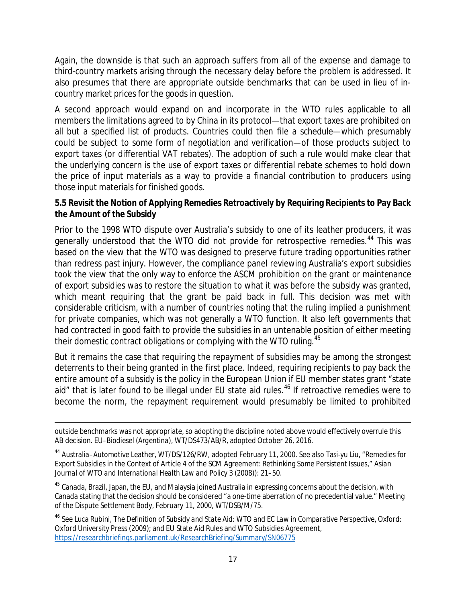Again, the downside is that such an approach suffers from all of the expense and damage to third-country markets arising through the necessary delay before the problem is addressed. It also presumes that there are appropriate outside benchmarks that can be used in lieu of incountry market prices for the goods in question.

A second approach would expand on and incorporate in the WTO rules applicable to all members the limitations agreed to by China in its protocol—that export taxes are prohibited on all but a specified list of products. Countries could then file a schedule—which presumably could be subject to some form of negotiation and verification—of those products subject to export taxes (or differential VAT rebates). The adoption of such a rule would make clear that the underlying concern is the use of export taxes or differential rebate schemes to hold down the price of input materials as a way to provide a financial contribution to producers using those input materials for finished goods.

#### **5.5 Revisit the Notion of Applying Remedies Retroactively by Requiring Recipients to Pay Back the Amount of the Subsidy**

Prior to the 1998 WTO dispute over Australia's subsidy to one of its leather producers, it was generally understood that the WTO did not provide for retrospective remedies.<sup>[44](#page-16-0)</sup> This was based on the view that the WTO was designed to preserve future trading opportunities rather than redress past injury. However, the compliance panel reviewing Australia's export subsidies took the view that the only way to enforce the ASCM prohibition on *the grant or maintenance of* export subsidies was to restore the situation to what it was before the subsidy was granted, which meant requiring that the grant be paid back in full. This decision was met with considerable criticism, with a number of countries noting that the ruling implied a punishment for private companies, which was not generally a WTO function. It also left governments that had contracted in good faith to provide the subsidies in an untenable position of either meeting their domestic contract obligations or complying with the WTO ruling.<sup>[45](#page-16-1)</sup>

But it remains the case that requiring the repayment of subsidies may be among the strongest deterrents to their being granted in the first place. Indeed, requiring recipients to pay back the entire amount of a subsidy is the policy in the European Union if EU member states grant "state aid" that is later found to be illegal under EU state aid rules.<sup>[46](#page-16-2)</sup> If retroactive remedies were to become the norm, the repayment requirement would presumably be limited to prohibited

<span id="page-16-1"></span><sup>45</sup> Canada, Brazil, Japan, the EU, and Malaysia joined Australia in expressing concerns about the decision, with Canada stating that the decision should be considered "a one-time aberration of no precedential value." Meeting of the Dispute Settlement Body, February 11, 2000, WT/DSB/M/75.

<span id="page-16-2"></span><sup>46</sup> See Luca Rubini, *The Definition of Subsidy and State Aid: WTO and EC Law in Comparative Perspective,* Oxford: Oxford University Press (2009); and EU State Aid Rules and WTO Subsidies Agreement, <https://researchbriefings.parliament.uk/ResearchBriefing/Summary/SN06775>

outside benchmarks was not appropriate, so adopting the discipline noted above would effectively overrule this AB decision. *EU–Biodiesel (Argentina),* WT/DS473/AB/R, adopted October 26, 2016.

<span id="page-16-0"></span><sup>44</sup> *Australia–Automotive Leather*, WT/DS/126/RW, adopted February 11, 2000. See also Tasi-yu Liu, "Remedies for Export Subsidies in the Context of Article 4 of the SCM Agreement: Rethinking Some Persistent Issues," *Asian Journal of WTO and International Health Law and Policy* 3 (2008)): 21–50.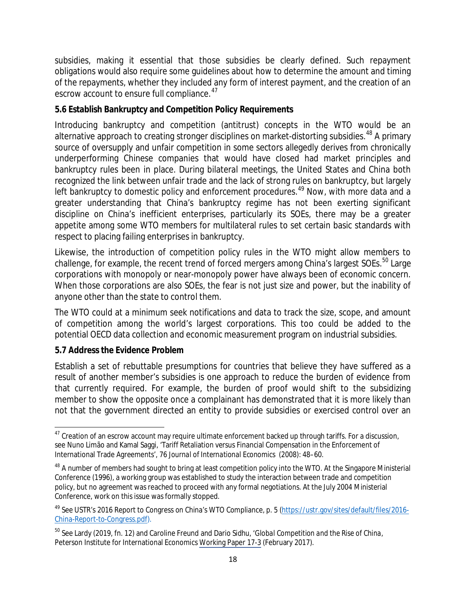subsidies, making it essential that those subsidies be clearly defined. Such repayment obligations would also require some guidelines about how to determine the amount and timing of the repayments, whether they included any form of interest payment, and the creation of an escrow account to ensure full compliance.<sup>[47](#page-17-0)</sup>

#### **5.6 Establish Bankruptcy and Competition Policy Requirements**

Introducing bankruptcy and competition (antitrust) concepts in the WTO would be an alternative approach to creating stronger disciplines on market-distorting subsidies.<sup>[48](#page-17-1)</sup> A primary source of oversupply and unfair competition in some sectors allegedly derives from chronically underperforming Chinese companies that would have closed had market principles and bankruptcy rules been in place. During bilateral meetings, the United States and China both recognized the link between unfair trade and the lack of strong rules on bankruptcy, but largely left bankruptcy to domestic policy and enforcement procedures.<sup>[49](#page-17-2)</sup> Now, with more data and a greater understanding that China's bankruptcy regime has not been exerting significant discipline on China's inefficient enterprises, particularly its SOEs, there may be a greater appetite among some WTO members for multilateral rules to set certain basic standards with respect to placing failing enterprises in bankruptcy.

Likewise, the introduction of competition policy rules in the WTO might allow members to challenge, for example, the recent trend of forced mergers among China's largest SOEs.<sup>[50](#page-17-3)</sup> Large corporations with monopoly or near-monopoly power have always been of economic concern. When those corporations are also SOEs, the fear is not just size and power, but the inability of anyone other than the state to control them.

The WTO could at a minimum seek notifications and data to track the size, scope, and amount of competition among the world's largest corporations. This too could be added to the potential OECD data collection and economic measurement program on industrial subsidies.

## **5.7 Address the Evidence Problem**

Establish a set of rebuttable presumptions for countries that believe they have suffered as a result of another member's subsidies is one approach to reduce the burden of evidence from that currently required. For example, the burden of proof would shift to the subsidizing member to show the opposite once a complainant has demonstrated that it is more likely than not that the government directed an entity to provide subsidies or exercised control over an

<span id="page-17-0"></span><sup>&</sup>lt;sup>47</sup> Creation of an escrow account may require ultimate enforcement backed up through tariffs. For a discussion, see Nuno Limão and Kamal Saggi, 'Tariff Retaliation versus Financial Compensation in the Enforcement of International Trade Agreements', 76 *Journal of International Economics* (2008): 48–60.

<span id="page-17-1"></span><sup>&</sup>lt;sup>48</sup> A number of members had sought to bring at least competition policy into the WTO. At the Singapore Ministerial Conference (1996), a working group was established to study the interaction between trade and competition policy, but no agreement was reached to proceed with any formal negotiations. At the July 2004 Ministerial Conference, work on this issue was formally stopped.

<span id="page-17-2"></span><sup>&</sup>lt;sup>49</sup> See USTR's 2016 Report to Congress on China's WTO Compliance, p. 5 [\(https://ustr.gov/sites/default/files/2016-](https://ustr.gov/sites/default/files/2016-China-Report-to-Congress.pdf) [China-Report-to-Congress.pdf\)](https://ustr.gov/sites/default/files/2016-China-Report-to-Congress.pdf).

<span id="page-17-3"></span><sup>50</sup> See Lardy (2019, fn. 12) and Caroline Freund and Dario Sidhu, '*Global Competition and the Rise of China*, Peterson Institute for International Economics [Working Paper 17-3](https://www.piie.com/publications/working-papers/global-competition-and-rise-china) (February 2017).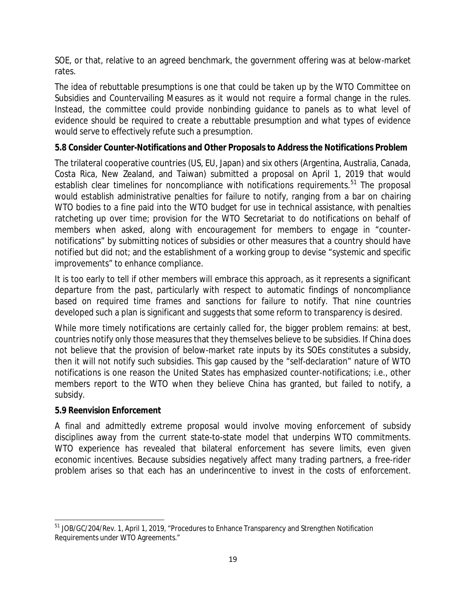SOE, or that, relative to an agreed benchmark, the government offering was at below-market rates.

The idea of rebuttable presumptions is one that could be taken up by the WTO Committee on Subsidies and Countervailing Measures as it would not require a formal change in the rules. Instead, the committee could provide nonbinding guidance to panels as to what level of evidence should be required to create a rebuttable presumption and what types of evidence would serve to effectively refute such a presumption.

#### **5.8 Consider Counter-Notifications and Other Proposals to Address the Notifications Problem**

The trilateral cooperative countries (US, EU, Japan) and six others (Argentina, Australia, Canada, Costa Rica, New Zealand, and Taiwan) submitted a proposal on April 1, 2019 that would establish clear timelines for noncompliance with notifications requirements.<sup>51</sup> The proposal would establish administrative penalties for failure to notify, ranging from a bar on chairing WTO bodies to a fine paid into the WTO budget for use in technical assistance, with penalties ratcheting up over time; provision for the WTO Secretariat to do notifications on behalf of members when asked, along with encouragement for members to engage in "counternotifications" by submitting notices of subsidies or other measures that a country should have notified but did not; and the establishment of a working group to devise "systemic and specific improvements" to enhance compliance.

It is too early to tell if other members will embrace this approach, as it represents a significant departure from the past, particularly with respect to automatic findings of noncompliance based on required time frames and sanctions for failure to notify. That nine countries developed such a plan is significant and suggests that some reform to transparency is desired.

While more timely notifications are certainly called for, the bigger problem remains: at best, countries notify only those measures that they themselves believe to be subsidies. If China does not believe that the provision of below-market rate inputs by its SOEs constitutes a subsidy, then it will not notify such subsidies. This gap caused by the "self-declaration" nature of WTO notifications is one reason the United States has emphasized counter-notifications; i.e., other members report to the WTO when they believe China has granted, but failed to notify, a subsidy.

#### **5.9 Reenvision Enforcement**

A final and admittedly extreme proposal would involve moving enforcement of subsidy disciplines away from the current state-to-state model that underpins WTO commitments. WTO experience has revealed that bilateral enforcement has severe limits, even given economic incentives. Because subsidies negatively affect many trading partners, a free-rider problem arises so that each has an underincentive to invest in the costs of enforcement.

<span id="page-18-0"></span><sup>&</sup>lt;sup>51</sup> JOB/GC/204/Rev. 1, April 1, 2019, "Procedures to Enhance Transparency and Strengthen Notification Requirements under WTO Agreements."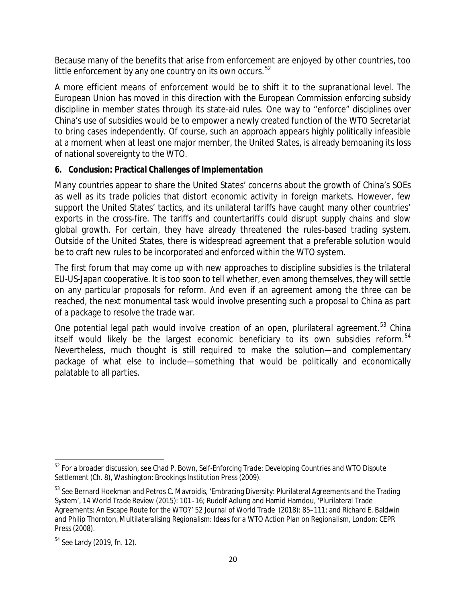Because many of the benefits that arise from enforcement are enjoyed by other countries, too little enforcement by any one country on its own occurs. $52$ 

A more efficient means of enforcement would be to shift it to the supranational level. The European Union has moved in this direction with the European Commission enforcing subsidy discipline in member states through its state-aid rules. One way to "enforce" disciplines over China's use of subsidies would be to empower a newly created function of the WTO Secretariat to bring cases independently. Of course, such an approach appears highly politically infeasible at a moment when at least one major member, the United States, is already bemoaning its loss of national sovereignty to the WTO.

#### **6. Conclusion: Practical Challenges of Implementation**

Many countries appear to share the United States' concerns about the growth of China's SOEs as well as its trade policies that distort economic activity in foreign markets. However, few support the United States' tactics, and its unilateral tariffs have caught many other countries' exports in the cross-fire. The tariffs and countertariffs could disrupt supply chains and slow global growth. For certain, they have already threatened the rules-based trading system. Outside of the United States, there is widespread agreement that a preferable solution would be to craft new rules to be incorporated and enforced within the WTO system.

The first forum that may come up with new approaches to discipline subsidies is the trilateral EU-US-Japan cooperative. It is too soon to tell whether, even among themselves, they will settle on any particular proposals for reform. And even if an agreement among the three can be reached, the next monumental task would involve presenting such a proposal to China as part of a package to resolve the trade war.

One potential legal path would involve creation of an open, plurilateral agreement.<sup>[53](#page-19-1)</sup> China itself would likely be the largest economic beneficiary to its own subsidies reform.<sup>[54](#page-19-2)</sup> Nevertheless, much thought is still required to make the solution—and complementary package of what else to include—something that would be politically and economically palatable to all parties.

<span id="page-19-0"></span><sup>52</sup> For a broader discussion, see Chad P. Bown, *Self-Enforcing Trade: Developing Countries and WTO Dispute Settlement* (Ch. 8)*,* Washington: Brookings Institution Press (2009).

<span id="page-19-1"></span><sup>&</sup>lt;sup>53</sup> See Bernard Hoekman and Petros C. Mavroidis, 'Embracing Diversity: Plurilateral Agreements and the Trading System', 14 *World Trade Review* (2015): 101–16; Rudolf Adlung and Hamid Hamdou, 'Plurilateral Trade Agreements: An Escape Route for the WTO?' 52 *Journal of World Trade* (2018): 85–111; and Richard E. Baldwin and Philip Thornton*, Multilateralising Regionalism: Ideas for a WTO Action Plan on Regionalism*, London: CEPR Press (2008).

<span id="page-19-2"></span><sup>54</sup> See Lardy (2019, fn. 12).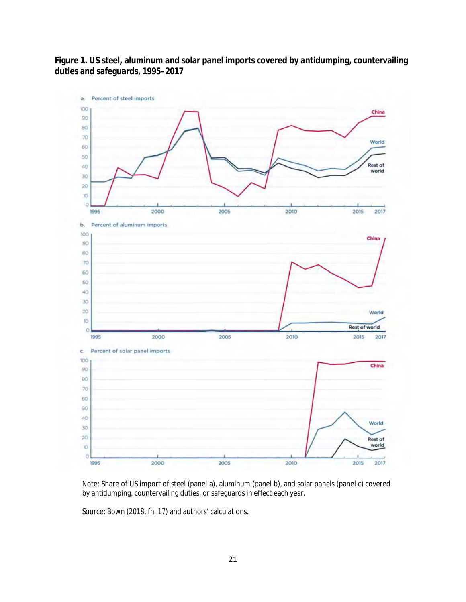**Figure 1. US steel, aluminum and solar panel imports covered by antidumping, countervailing duties and safeguards, 1995–2017**



Note: Share of US import of steel (panel a), aluminum (panel b), and solar panels (panel c) covered by antidumping, countervailing duties, or safeguards in effect each year.

Source: Bown (2018, fn. 17) and authors' calculations.